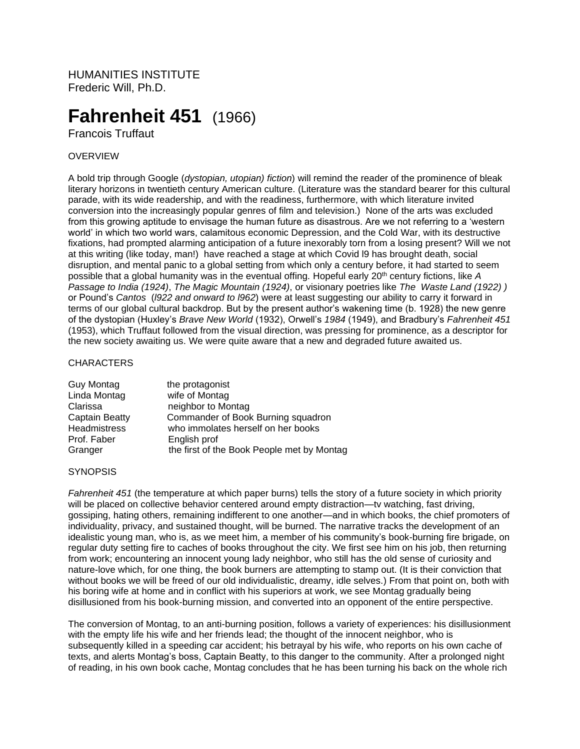HUMANITIES INSTITUTE Frederic Will, Ph.D.

# **Fahrenheit 451**(1966)

Francois Truffaut

## **OVERVIEW**

A bold trip through Google (*dystopian, utopian) fiction*) will remind the reader of the prominence of bleak literary horizons in twentieth century American culture. (Literature was the standard bearer for this cultural parade, with its wide readership, and with the readiness, furthermore, with which literature invited conversion into the increasingly popular genres of film and television.) None of the arts was excluded from this growing aptitude to envisage the human future as disastrous. Are we not referring to a 'western world' in which two world wars, calamitous economic Depression, and the Cold War, with its destructive fixations, had prompted alarming anticipation of a future inexorably torn from a losing present? Will we not at this writing (like today, man!) have reached a stage at which Covid l9 has brought death, social disruption, and mental panic to a global setting from which only a century before, it had started to seem possible that a global humanity was in the eventual offing. Hopeful early 20<sup>th</sup> century fictions, like A *Passage to India (1924)*, *The Magic Mountain (1924)*, or visionary poetries like *The Waste Land (1922) )* or Pound's *Cantos* (*l922 and onward to l962*) were at least suggesting our ability to carry it forward in terms of our global cultural backdrop. But by the present author's wakening time (b. 1928) the new genre of the dystopian (Huxley's *Brave New World* (1932), Orwell's *1984* (1949), and Bradbury's *Fahrenheit 451* (1953), which Truffaut followed from the visual direction, was pressing for prominence, as a descriptor for the new society awaiting us. We were quite aware that a new and degraded future awaited us.

### **CHARACTERS**

| <b>Guy Montag</b>   | the protagonist                            |
|---------------------|--------------------------------------------|
| Linda Montag        | wife of Montag                             |
| Clarissa            | neighbor to Montag                         |
| Captain Beatty      | Commander of Book Burning squadron         |
| <b>Headmistress</b> | who immolates herself on her books         |
| Prof. Faber         | English prof                               |
| Granger             | the first of the Book People met by Montag |

#### **SYNOPSIS**

*Fahrenheit 451* (the temperature at which paper burns) tells the story of a future society in which priority will be placed on collective behavior centered around empty distraction—tv watching, fast driving, gossiping, hating others, remaining indifferent to one another—and in which books, the chief promoters of individuality, privacy, and sustained thought, will be burned. The narrative tracks the development of an idealistic young man, who is, as we meet him, a member of his community's book-burning fire brigade, on regular duty setting fire to caches of books throughout the city. We first see him on his job, then returning from work; encountering an innocent young lady neighbor, who still has the old sense of curiosity and nature-love which, for one thing, the book burners are attempting to stamp out. (It is their conviction that without books we will be freed of our old individualistic, dreamy, idle selves.) From that point on, both with his boring wife at home and in conflict with his superiors at work, we see Montag gradually being disillusioned from his book-burning mission, and converted into an opponent of the entire perspective.

The conversion of Montag, to an anti-burning position, follows a variety of experiences: his disillusionment with the empty life his wife and her friends lead; the thought of the innocent neighbor, who is subsequently killed in a speeding car accident; his betrayal by his wife, who reports on his own cache of texts, and alerts Montag's boss, Captain Beatty, to this danger to the community. After a prolonged night of reading, in his own book cache, Montag concludes that he has been turning his back on the whole rich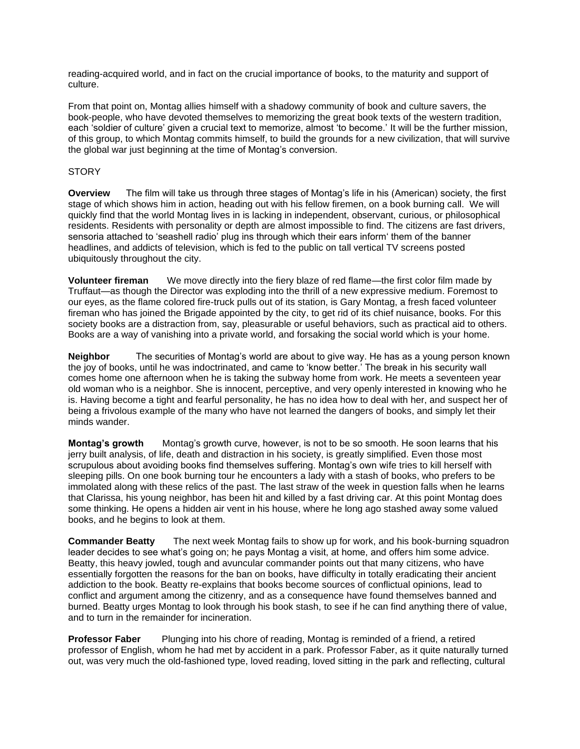reading-acquired world, and in fact on the crucial importance of books, to the maturity and support of culture.

From that point on, Montag allies himself with a shadowy community of book and culture savers, the book-people, who have devoted themselves to memorizing the great book texts of the western tradition, each 'soldier of culture' given a crucial text to memorize, almost 'to become.' It will be the further mission, of this group, to which Montag commits himself, to build the grounds for a new civilization, that will survive the global war just beginning at the time of Montag's conversion.

## **STORY**

**Overview** The film will take us through three stages of Montag's life in his (American) society, the first stage of which shows him in action, heading out with his fellow firemen, on a book burning call. We will quickly find that the world Montag lives in is lacking in independent, observant, curious, or philosophical residents. Residents with personality or depth are almost impossible to find. The citizens are fast drivers, sensoria attached to 'seashell radio' plug ins through which their ears inform' them of the banner headlines, and addicts of television, which is fed to the public on tall vertical TV screens posted ubiquitously throughout the city.

**Volunteer fireman** We move directly into the fiery blaze of red flame—the first color film made by Truffaut—as though the Director was exploding into the thrill of a new expressive medium. Foremost to our eyes, as the flame colored fire-truck pulls out of its station, is Gary Montag, a fresh faced volunteer fireman who has joined the Brigade appointed by the city, to get rid of its chief nuisance, books. For this society books are a distraction from, say, pleasurable or useful behaviors, such as practical aid to others. Books are a way of vanishing into a private world, and forsaking the social world which is your home.

**Neighbor** The securities of Montag's world are about to give way. He has as a young person known the joy of books, until he was indoctrinated, and came to 'know better.' The break in his security wall comes home one afternoon when he is taking the subway home from work. He meets a seventeen year old woman who is a neighbor. She is innocent, perceptive, and very openly interested in knowing who he is. Having become a tight and fearful personality, he has no idea how to deal with her, and suspect her of being a frivolous example of the many who have not learned the dangers of books, and simply let their minds wander.

**Montag's growth** Montag's growth curve, however, is not to be so smooth. He soon learns that his jerry built analysis, of life, death and distraction in his society, is greatly simplified. Even those most scrupulous about avoiding books find themselves suffering. Montag's own wife tries to kill herself with sleeping pills. On one book burning tour he encounters a lady with a stash of books, who prefers to be immolated along with these relics of the past. The last straw of the week in question falls when he learns that Clarissa, his young neighbor, has been hit and killed by a fast driving car. At this point Montag does some thinking. He opens a hidden air vent in his house, where he long ago stashed away some valued books, and he begins to look at them.

**Commander Beatty** The next week Montag fails to show up for work, and his book-burning squadron leader decides to see what's going on; he pays Montag a visit, at home, and offers him some advice. Beatty, this heavy jowled, tough and avuncular commander points out that many citizens, who have essentially forgotten the reasons for the ban on books, have difficulty in totally eradicating their ancient addiction to the book. Beatty re-explains that books become sources of conflictual opinions, lead to conflict and argument among the citizenry, and as a consequence have found themselves banned and burned. Beatty urges Montag to look through his book stash, to see if he can find anything there of value, and to turn in the remainder for incineration.

**Professor Faber** Plunging into his chore of reading, Montag is reminded of a friend, a retired professor of English, whom he had met by accident in a park. Professor Faber, as it quite naturally turned out, was very much the old-fashioned type, loved reading, loved sitting in the park and reflecting, cultural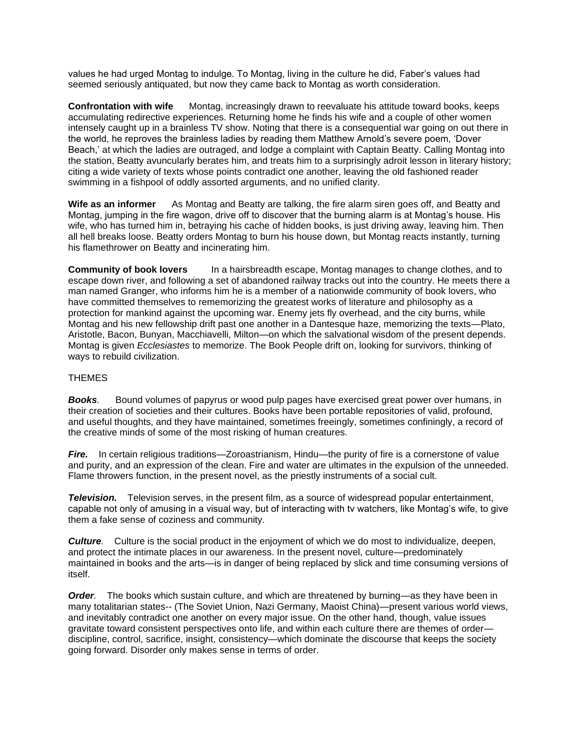values he had urged Montag to indulge. To Montag, living in the culture he did, Faber's values had seemed seriously antiquated, but now they came back to Montag as worth consideration.

**Confrontation with wife** Montag, increasingly drawn to reevaluate his attitude toward books, keeps accumulating redirective experiences. Returning home he finds his wife and a couple of other women intensely caught up in a brainless TV show. Noting that there is a consequential war going on out there in the world, he reproves the brainless ladies by reading them Matthew Arnold's severe poem, 'Dover Beach,' at which the ladies are outraged, and lodge a complaint with Captain Beatty. Calling Montag into the station, Beatty avuncularly berates him, and treats him to a surprisingly adroit lesson in literary history; citing a wide variety of texts whose points contradict one another, leaving the old fashioned reader swimming in a fishpool of oddly assorted arguments, and no unified clarity.

**Wife as an informer** As Montag and Beatty are talking, the fire alarm siren goes off, and Beatty and Montag, jumping in the fire wagon, drive off to discover that the burning alarm is at Montag's house. His wife, who has turned him in, betraying his cache of hidden books, is just driving away, leaving him. Then all hell breaks loose. Beatty orders Montag to burn his house down, but Montag reacts instantly, turning his flamethrower on Beatty and incinerating him.

**Community of book lovers** In a hairsbreadth escape, Montag manages to change clothes, and to escape down river, and following a set of abandoned railway tracks out into the country. He meets there a man named Granger, who informs him he is a member of a nationwide community of book lovers, who have committed themselves to rememorizing the greatest works of literature and philosophy as a protection for mankind against the upcoming war. Enemy jets fly overhead, and the city burns, while Montag and his new fellowship drift past one another in a Dantesque haze, memorizing the texts—Plato, Aristotle, Bacon, Bunyan, Macchiavelli, Milton—on which the salvational wisdom of the present depends. Montag is given *Ecclesiastes* to memorize. The Book People drift on, looking for survivors, thinking of ways to rebuild civilization.

## **THEMES**

*Books.* Bound volumes of papyrus or wood pulp pages have exercised great power over humans, in their creation of societies and their cultures. Books have been portable repositories of valid, profound, and useful thoughts, and they have maintained, sometimes freeingly, sometimes confiningly, a record of the creative minds of some of the most risking of human creatures.

*Fire.* In certain religious traditions—Zoroastrianism, Hindu—the purity of fire is a cornerstone of value and purity, and an expression of the clean. Fire and water are ultimates in the expulsion of the unneeded. Flame throwers function, in the present novel, as the priestly instruments of a social cult.

*Television.* Television serves, in the present film, as a source of widespread popular entertainment, capable not only of amusing in a visual way, but of interacting with tv watchers, like Montag's wife, to give them a fake sense of coziness and community.

*Culture.* Culture is the social product in the enjoyment of which we do most to individualize, deepen, and protect the intimate places in our awareness. In the present novel, culture—predominately maintained in books and the arts—is in danger of being replaced by slick and time consuming versions of itself.

*Order.* The books which sustain culture, and which are threatened by burning—as they have been in many totalitarian states-- (The Soviet Union, Nazi Germany, Maoist China)—present various world views, and inevitably contradict one another on every major issue. On the other hand, though, value issues gravitate toward consistent perspectives onto life, and within each culture there are themes of order discipline, control, sacrifice, insight, consistency—which dominate the discourse that keeps the society going forward. Disorder only makes sense in terms of order.